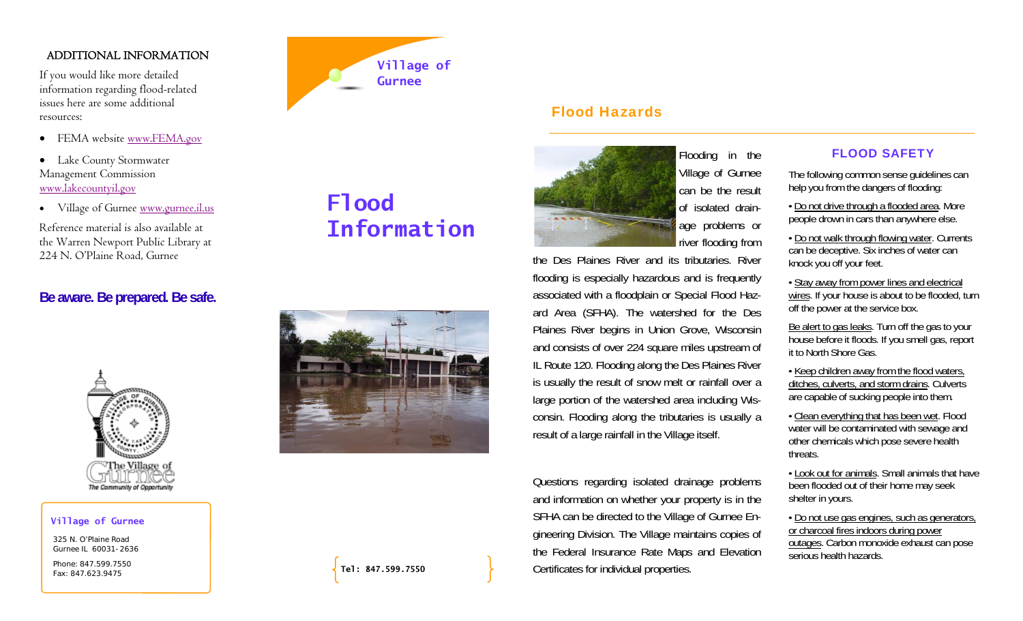# ADDITIONAL INFORMATION

If you would like more detailed information regarding flood-related issues here are some additional resources:

- FEMA website <u>www.FEMA.gov</u>
- Lake County Stormwater Management Commission www.lakecountyil.gov
- Village of Gurnee www.gurnee.il.us

Reference material is also available at the Warren Newport Public Library at 224 N. O'Plaine Road, Gurnee

# **Be aware. Be prepared. Be safe.**



#### **Village of Gurnee**

325 N. O'Plaine Road Gurnee IL 60031-2636

Phone: 847.599.7550 Fax: 847.623.9475



# **Flood Information**



Flood Hazards

Flooding in the Village of Gurnee can be the result of isolated drainage problems or river flooding from

the Des Plaines River and its tributaries. River flooding is especially hazardous and is frequently associated with a floodplain or Special Flood Hazard Area (SFHA). The watershed for the Des Plaines River begins in Union Grove, Wisconsin and consists of over 224 square miles upstream of IL Route 120. Flooding along the Des Plaines River is usually the result of snow melt or rainfall over a large portion of the watershed area including Wisconsin. Flooding along the tributaries is usually a result of a large rainfall in the Village itself.

Questions regarding isolated drainage problems and information on whether your property is in the SFHA can be directed to the Village of Gurnee Engineering Division. The Village maintains copies of the Federal Insurance Rate Maps and Elevation Certificates for individual properties.

# FLOOD SAFETY

The following common sense guidelines can help you from the dangers of flooding:

• Do not drive through a flooded area. More people drown in cars than anywhere else.

• Do not walk through flowing water. Currents can be deceptive. Six inches of water can knock you off your feet.

• Stay away from power lines and electrical wires. If your house is about to be flooded, turn off the power at the service box.

Be alert to gas leaks. Turn off the gas to your house before it floods. If you smell gas, report it to North Shore Gas.

• Keep children away from the flood waters, ditches, culverts, and storm drains. Culverts are capable of sucking people into them.

• Clean everything that has been wet. Flood water will be contaminated with sewage and other chemicals which pose severe health threats.

• Look out for animals. Small animals that have been flooded out of their home may seek shelter in yours.

• Do not use gas engines, such as generators, or charcoal fires indoors during power outages. Carbon monoxide exhaust can pose serious health hazards.

**Tel: 847.599.7550**